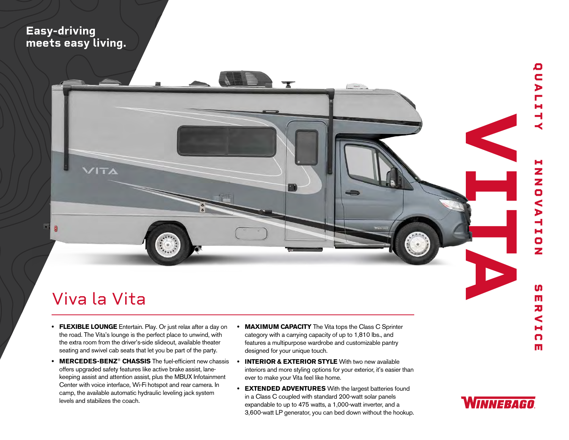## **Easy-driving meets easy living.**



## Viva la Vita

- **FLEXIBLE LOUNGE** Entertain. Play. Or just relax after a day on the road. The Vita's lounge is the perfect place to unwind, with the extra room from the driver's-side slideout, available theater seating and swivel cab seats that let you be part of the party.
- **• MERCEDES-BENZ**® **CHASSIS** The fuel-efficient new chassis offers upgraded safety features like active brake assist, lanekeeping assist and attention assist, plus the MBUX Infotainment Center with voice interface, Wi-Fi hotspot and rear camera. In camp, the available automatic hydraulic leveling jack system levels and stabilizes the coach.
- **• MAXIMUM CAPACITY** The Vita tops the Class C Sprinter category with a carrying capacity of up to 1,810 lbs., and features a multipurpose wardrobe and customizable pantry designed for your unique touch.
- **• INTERIOR & EXTERIOR STYLE** With two new available interiors and more styling options for your exterior, it's easier than ever to make your Vita feel like home.
- **• EXTENDED ADVENTURES** With the largest batteries found in a Class C coupled with standard 200-watt solar panels expandable to up to 475 watts, a 1,000-watt inverter, and a 3,600-watt LP generator, you can bed down without the hookup.



m  $\overline{\mathbf{u}}$ 刀 Ć н n Ш

Q C